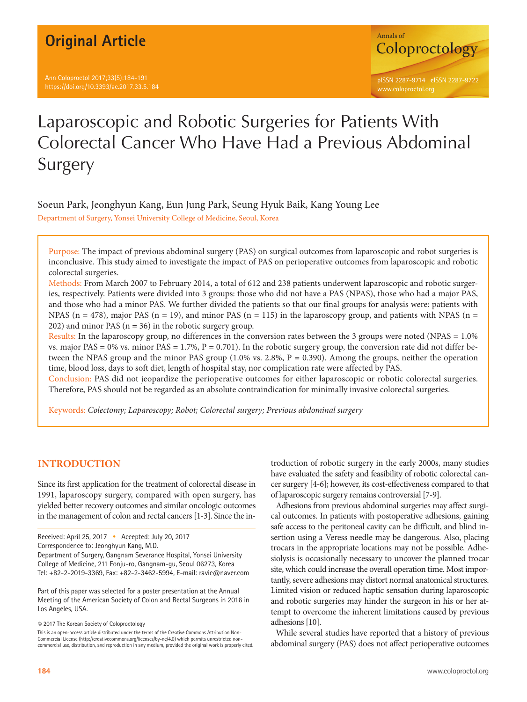## **Original Article**

Ann Coloproctol 2017;33(5):184-191 https://doi.org/10.3393/ac.2017.33.5.184



# Laparoscopic and Robotic Surgeries for Patients With Colorectal Cancer Who Have Had a Previous Abdominal Surgery

Soeun Park, Jeonghyun Kang, Eun Jung Park, Seung Hyuk Baik, Kang Young Lee

Department of Surgery, Yonsei University College of Medicine, Seoul, Korea

Purpose: The impact of previous abdominal surgery (PAS) on surgical outcomes from laparoscopic and robot surgeries is inconclusive. This study aimed to investigate the impact of PAS on perioperative outcomes from laparoscopic and robotic colorectal surgeries.

Methods: From March 2007 to February 2014, a total of 612 and 238 patients underwent laparoscopic and robotic surgeries, respectively. Patients were divided into 3 groups: those who did not have a PAS (NPAS), those who had a major PAS, and those who had a minor PAS. We further divided the patients so that our final groups for analysis were: patients with NPAS ( $n = 478$ ), major PAS ( $n = 19$ ), and minor PAS ( $n = 115$ ) in the laparoscopy group, and patients with NPAS ( $n =$ 202) and minor PAS ( $n = 36$ ) in the robotic surgery group.

Results: In the laparoscopy group, no differences in the conversion rates between the 3 groups were noted (NPAS = 1.0% vs. major  $PAS = 0\%$  vs. minor  $PAS = 1.7\%, P = 0.701$ . In the robotic surgery group, the conversion rate did not differ between the NPAS group and the minor PAS group  $(1.0\% \text{ vs. } 2.8\%, P = 0.390)$ . Among the groups, neither the operation time, blood loss, days to soft diet, length of hospital stay, nor complication rate were affected by PAS.

Conclusion: PAS did not jeopardize the perioperative outcomes for either laparoscopic or robotic colorectal surgeries. Therefore, PAS should not be regarded as an absolute contraindication for minimally invasive colorectal surgeries.

Keywords: *Colectomy; Laparoscopy; Robot; Colorectal surgery; Previous abdominal surgery*

## **INTRODUCTION**

Since its first application for the treatment of colorectal disease in 1991, laparoscopy surgery, compared with open surgery, has yielded better recovery outcomes and similar oncologic outcomes in the management of colon and rectal cancers [1-3]. Since the in-

Part of this paper was selected for a poster presentation at the Annual Meeting of the American Society of Colon and Rectal Surgeons in 2016 in Los Angeles, USA.

© 2017 The Korean Society of Coloproctology

This is an open-access article distributed under the terms of the Creative Commons Attribution Non-Commercial License (http://creativecommons.org/licenses/by-nc/4.0) which permits unrestricted noncommercial use, distribution, and reproduction in any medium, provided the original work is properly cited. troduction of robotic surgery in the early 2000s, many studies have evaluated the safety and feasibility of robotic colorectal cancer surgery [4-6]; however, its cost-effectiveness compared to that of laparoscopic surgery remains controversial [7-9].

Adhesions from previous abdominal surgeries may affect surgical outcomes. In patients with postoperative adhesions, gaining safe access to the peritoneal cavity can be difficult, and blind insertion using a Veress needle may be dangerous. Also, placing trocars in the appropriate locations may not be possible. Adhesiolysis is occasionally necessary to uncover the planned trocar site, which could increase the overall operation time. Most importantly, severe adhesions may distort normal anatomical structures. Limited vision or reduced haptic sensation during laparoscopic and robotic surgeries may hinder the surgeon in his or her attempt to overcome the inherent limitations caused by previous adhesions [10].

While several studies have reported that a history of previous abdominal surgery (PAS) does not affect perioperative outcomes

Received: April 25, 2017 • Accepted: July 20, 2017 Correspondence to: Jeonghyun Kang, M.D.

Department of Surgery, Gangnam Severance Hospital, Yonsei University College of Medicine, 211 Eonju-ro, Gangnam-gu, Seoul 06273, Korea Tel: +82-2-2019-3369, Fax: +82-2-3462-5994, E-mail: ravic@naver.com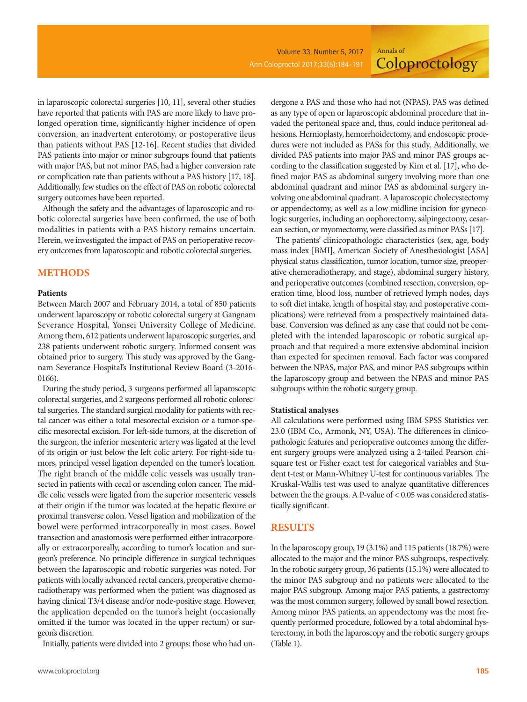**Coloproctology** 

in laparoscopic colorectal surgeries [10, 11], several other studies have reported that patients with PAS are more likely to have prolonged operation time, significantly higher incidence of open conversion, an inadvertent enterotomy, or postoperative ileus than patients without PAS [12-16]. Recent studies that divided PAS patients into major or minor subgroups found that patients with major PAS, but not minor PAS, had a higher conversion rate or complication rate than patients without a PAS history [17, 18]. Additionally, few studies on the effect of PAS on robotic colorectal surgery outcomes have been reported.

Although the safety and the advantages of laparoscopic and robotic colorectal surgeries have been confirmed, the use of both modalities in patients with a PAS history remains uncertain. Herein, we investigated the impact of PAS on perioperative recovery outcomes from laparoscopic and robotic colorectal surgeries.

#### **METHODS**

#### **Patients**

Between March 2007 and February 2014, a total of 850 patients underwent laparoscopy or robotic colorectal surgery at Gangnam Severance Hospital, Yonsei University College of Medicine. Among them, 612 patients underwent laparoscopic surgeries, and 238 patients underwent robotic surgery. Informed consent was obtained prior to surgery. This study was approved by the Gangnam Severance Hospital's Institutional Review Board (3-2016- 0166).

During the study period, 3 surgeons performed all laparoscopic colorectal surgeries, and 2 surgeons performed all robotic colorectal surgeries. The standard surgical modality for patients with rectal cancer was either a total mesorectal excision or a tumor-specific mesorectal excision. For left-side tumors, at the discretion of the surgeon, the inferior mesenteric artery was ligated at the level of its origin or just below the left colic artery. For right-side tumors, principal vessel ligation depended on the tumor's location. The right branch of the middle colic vessels was usually transected in patients with cecal or ascending colon cancer. The middle colic vessels were ligated from the superior mesenteric vessels at their origin if the tumor was located at the hepatic flexure or proximal transverse colon. Vessel ligation and mobilization of the bowel were performed intracorporeally in most cases. Bowel transection and anastomosis were performed either intracorporeally or extracorporeally, according to tumor's location and surgeon's preference. No principle difference in surgical techniques between the laparoscopic and robotic surgeries was noted. For patients with locally advanced rectal cancers, preoperative chemoradiotherapy was performed when the patient was diagnosed as having clinical T3/4 disease and/or node-positive stage. However, the application depended on the tumor's height (occasionally omitted if the tumor was located in the upper rectum) or surgeon's discretion.

Initially, patients were divided into 2 groups: those who had un-

dergone a PAS and those who had not (NPAS). PAS was defined as any type of open or laparoscopic abdominal procedure that invaded the peritoneal space and, thus, could induce peritoneal adhesions. Hernioplasty, hemorrhoidectomy, and endoscopic procedures were not included as PASs for this study. Additionally, we divided PAS patients into major PAS and minor PAS groups according to the classification suggested by Kim et al. [17], who defined major PAS as abdominal surgery involving more than one abdominal quadrant and minor PAS as abdominal surgery involving one abdominal quadrant. A laparoscopic cholecystectomy or appendectomy, as well as a low midline incision for gynecologic surgeries, including an oophorectomy, salpingectomy, cesarean section, or myomectomy, were classified as minor PASs [17].

Annals of

The patients' clinicopathologic characteristics (sex, age, body mass index [BMI], American Society of Anesthesiologist [ASA] physical status classification, tumor location, tumor size, preoperative chemoradiotherapy, and stage), abdominal surgery history, and perioperative outcomes (combined resection, conversion, operation time, blood loss, number of retrieved lymph nodes, days to soft diet intake, length of hospital stay, and postoperative complications) were retrieved from a prospectively maintained database. Conversion was defined as any case that could not be completed with the intended laparoscopic or robotic surgical approach and that required a more extensive abdominal incision than expected for specimen removal. Each factor was compared between the NPAS, major PAS, and minor PAS subgroups within the laparoscopy group and between the NPAS and minor PAS subgroups within the robotic surgery group.

#### **Statistical analyses**

All calculations were performed using IBM SPSS Statistics ver. 23.0 (IBM Co., Armonk, NY, USA). The differences in clinicopathologic features and perioperative outcomes among the different surgery groups were analyzed using a 2-tailed Pearson chisquare test or Fisher exact test for categorical variables and Student t-test or Mann-Whitney U-test for continuous variables. The Kruskal-Wallis test was used to analyze quantitative differences between the the groups. A P-value of < 0.05 was considered statistically significant.

#### **RESULTS**

In the laparoscopy group, 19 (3.1%) and 115 patients (18.7%) were allocated to the major and the minor PAS subgroups, respectively. In the robotic surgery group, 36 patients (15.1%) were allocated to the minor PAS subgroup and no patients were allocated to the major PAS subgroup. Among major PAS patients, a gastrectomy was the most common surgery, followed by small bowel resection. Among minor PAS patients, an appendectomy was the most frequently performed procedure, followed by a total abdominal hysterectomy, in both the laparoscopy and the robotic surgery groups (Table 1).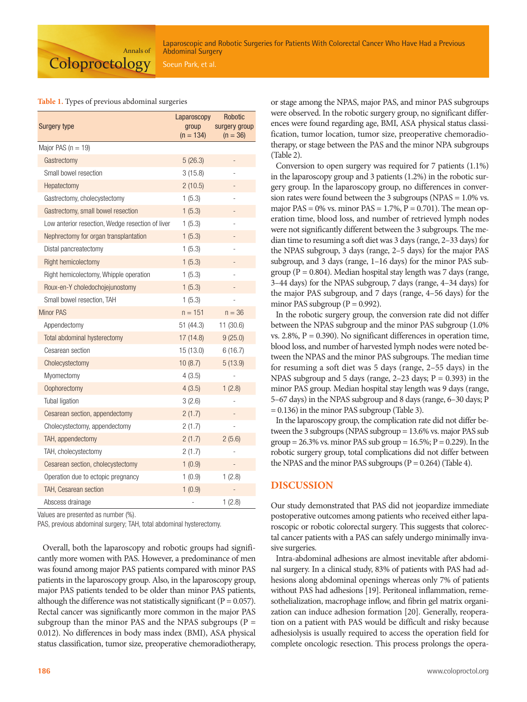#### **Table 1.** Types of previous abdominal surgeries

| Surgery type                                     | Laparoscopy<br>group<br>$(n = 134)$ | Robotic<br>surgery group<br>$(n = 36)$ |  |
|--------------------------------------------------|-------------------------------------|----------------------------------------|--|
| Major PAS ( $n = 19$ )                           |                                     |                                        |  |
| Gastrectomy                                      | 5(26.3)                             |                                        |  |
| Small bowel resection                            | 3(15.8)                             |                                        |  |
| Hepatectomy                                      | 2(10.5)                             |                                        |  |
| Gastrectomy, cholecystectomy                     | 1(5.3)                              |                                        |  |
| Gastrectomy, small bowel resection               | 1(5.3)                              |                                        |  |
| Low anterior resection, Wedge resection of liver | 1(5.3)                              |                                        |  |
| Nephrectomy for organ transplantation            | 1(5.3)                              |                                        |  |
| Distal pancreatectomy                            | 1(5.3)                              |                                        |  |
| Right hemicolectomy                              | 1(5.3)                              |                                        |  |
| Right hemicolectomy, Whipple operation           | 1(5.3)                              |                                        |  |
| Roux-en-Y choledochojejunostomy                  | 1(5.3)                              |                                        |  |
| Small bowel resection, TAH                       | 1(5.3)                              |                                        |  |
| <b>Minor PAS</b>                                 | $n = 151$                           | $n = 36$                               |  |
| Appendectomy                                     | 51 (44.3)                           | 11(30.6)                               |  |
| Total abdominal hysterectomy                     | 17 (14.8)                           | 9(25.0)                                |  |
| Cesarean section                                 | 15 (13.0)                           | 6(16.7)                                |  |
| Cholecystectomy                                  | 10(8.7)                             | 5(13.9)                                |  |
| Myomectomy                                       | 4 (3.5)                             |                                        |  |
| Oophorectomy                                     | 4(3.5)                              | 1(2.8)                                 |  |
| Tubal ligation                                   | 3(2.6)                              |                                        |  |
| Cesarean section, appendectomy                   | 2(1.7)                              |                                        |  |
| Cholecystectomy, appendectomy                    | 2(1.7)                              |                                        |  |
| TAH, appendectomy                                | 2(1.7)                              | 2(5.6)                                 |  |
| TAH, cholecystectomy                             | 2(1.7)                              |                                        |  |
| Cesarean section, cholecystectomy                | 1(0.9)                              |                                        |  |
| Operation due to ectopic pregnancy               | 1(0.9)                              | 1(2.8)                                 |  |
| <b>TAH, Cesarean section</b>                     | 1(0.9)                              |                                        |  |
| Abscess drainage                                 |                                     | 1(2.8)                                 |  |

Values are presented as number (%).

PAS, previous abdominal surgery; TAH, total abdominal hysterectomy.

Overall, both the laparoscopy and robotic groups had significantly more women with PAS. However, a predominance of men was found among major PAS patients compared with minor PAS patients in the laparoscopy group. Also, in the laparoscopy group, major PAS patients tended to be older than minor PAS patients, although the difference was not statistically significant ( $P = 0.057$ ). Rectal cancer was significantly more common in the major PAS subgroup than the minor PAS and the NPAS subgroups ( $P =$ 0.012). No differences in body mass index (BMI), ASA physical status classification, tumor size, preoperative chemoradiotherapy, or stage among the NPAS, major PAS, and minor PAS subgroups were observed. In the robotic surgery group, no significant differences were found regarding age, BMI, ASA physical status classification, tumor location, tumor size, preoperative chemoradiotherapy, or stage between the PAS and the minor NPA subgroups (Table 2).

Conversion to open surgery was required for 7 patients (1.1%) in the laparoscopy group and 3 patients (1.2%) in the robotic surgery group. In the laparoscopy group, no differences in conversion rates were found between the 3 subgroups (NPAS = 1.0% vs. major PAS =  $0\%$  vs. minor PAS =  $1.7\%$ , P = 0.701). The mean operation time, blood loss, and number of retrieved lymph nodes were not significantly different between the 3 subgroups. The median time to resuming a soft diet was 3 days (range, 2–33 days) for the NPAS subgroup, 3 days (range, 2–5 days) for the major PAS subgroup, and 3 days (range, 1–16 days) for the minor PAS subgroup ( $P = 0.804$ ). Median hospital stay length was 7 days (range, 3–44 days) for the NPAS subgroup, 7 days (range, 4–34 days) for the major PAS subgroup, and 7 days (range, 4–56 days) for the minor PAS subgroup ( $P = 0.992$ ).

In the robotic surgery group, the conversion rate did not differ between the NPAS subgroup and the minor PAS subgroup (1.0% vs.  $2.8\%$ ,  $P = 0.390$ ). No significant differences in operation time, blood loss, and number of harvested lymph nodes were noted between the NPAS and the minor PAS subgroups. The median time for resuming a soft diet was 5 days (range, 2–55 days) in the NPAS subgroup and 5 days (range,  $2-23$  days;  $P = 0.393$ ) in the minor PAS group. Median hospital stay length was 9 days (range, 5–67 days) in the NPAS subgroup and 8 days (range, 6–30 days; P = 0.136) in the minor PAS subgroup (Table 3).

In the laparoscopy group, the complication rate did not differ between the 3 subgroups (NPAS subgroup = 13.6% vs. major PAS sub group =  $26.3\%$  vs. minor PAS sub group =  $16.5\%$ ; P = 0.229). In the robotic surgery group, total complications did not differ between the NPAS and the minor PAS subgroups  $(P = 0.264)$  (Table 4).

### **DISCUSSION**

Our study demonstrated that PAS did not jeopardize immediate postoperative outcomes among patients who received either laparoscopic or robotic colorectal surgery. This suggests that colorectal cancer patients with a PAS can safely undergo minimally invasive surgeries.

Intra-abdominal adhesions are almost inevitable after abdominal surgery. In a clinical study, 83% of patients with PAS had adhesions along abdominal openings whereas only 7% of patients without PAS had adhesions [19]. Peritoneal inflammation, remesothelialization, macrophage inflow, and fibrin gel matrix organization can induce adhesion formation [20]. Generally, reoperation on a patient with PAS would be difficult and risky because adhesiolysis is usually required to access the operation field for complete oncologic resection. This process prolongs the opera-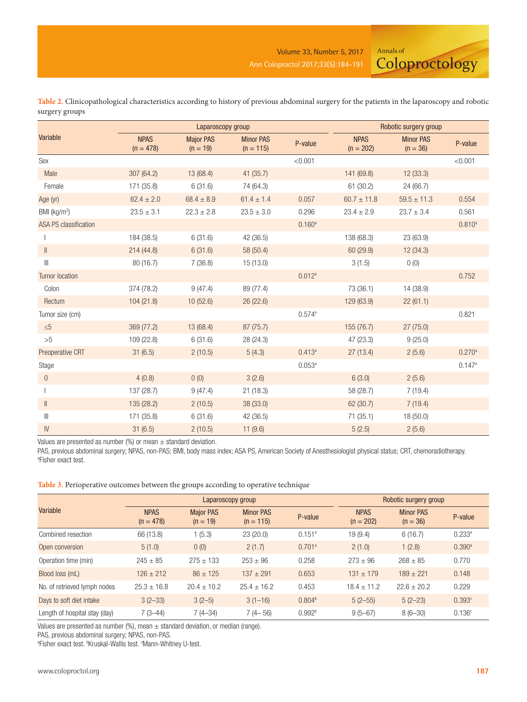Annals of

**Coloproctology** 

|                              |                            | Laparoscopy group              |                                 | Robotic surgery group |                            |                                |                 |
|------------------------------|----------------------------|--------------------------------|---------------------------------|-----------------------|----------------------------|--------------------------------|-----------------|
| <b>Variable</b>              | <b>NPAS</b><br>$(n = 478)$ | <b>Major PAS</b><br>$(n = 19)$ | <b>Minor PAS</b><br>$(n = 115)$ | P-value               | <b>NPAS</b><br>$(n = 202)$ | <b>Minor PAS</b><br>$(n = 36)$ | P-value         |
| Sex                          |                            |                                |                                 | < 0.001               |                            |                                | < 0.001         |
| Male                         | 307 (64.2)                 | 13 (68.4)                      | 41(35.7)                        |                       | 141 (69.8)                 | 12(33.3)                       |                 |
| Female                       | 171 (35.8)                 | 6(31.6)                        | 74 (64.3)                       |                       | 61 (30.2)                  | 24 (66.7)                      |                 |
| Age (yr)                     | $62.4 \pm 2.0$             | $68.4 \pm 8.9$                 | $61.4 \pm 1.4$                  | 0.057                 | $60.7 \pm 11.8$            | $59.5 \pm 11.3$                | 0.554           |
| BMI (kg/m <sup>2</sup> )     | $23.5 \pm 3.1$             | $22.3 \pm 2.8$                 | $23.5\pm3.0$                    | 0.296                 | $23.4 \pm 2.9$             | $23.7\pm3.4$                   | 0.561           |
| <b>ASA PS classification</b> |                            |                                |                                 | $0.160^a$             |                            |                                | $0.810^{a}$     |
|                              | 184 (38.5)                 | 6(31.6)                        | 42 (36.5)                       |                       | 138 (68.3)                 | 23 (63.9)                      |                 |
| $\parallel$                  | 214(44.8)                  | 6(31.6)                        | 58 (50.4)                       |                       | 60 (29.9)                  | 12(34.3)                       |                 |
| $\left\  {}\right\ $         | 80(16.7)                   | 7(36.8)                        | 15 (13.0)                       |                       | 3(1.5)                     | 0(0)                           |                 |
| <b>Tumor location</b>        |                            |                                |                                 | $0.012^a$             |                            |                                | 0.752           |
| Colon                        | 374 (78.2)                 | 9(47.4)                        | 89 (77.4)                       |                       | 73 (36.1)                  | 14 (38.9)                      |                 |
| Rectum                       | 104(21.8)                  | 10(52.6)                       | 26(22.6)                        |                       | 129 (63.9)                 | 22(61.1)                       |                 |
| Tumor size (cm)              |                            |                                |                                 | $0.574^{a}$           |                            |                                | 0.821           |
| $\leq 5$                     | 369 (77.2)                 | 13 (68.4)                      | 87 (75.7)                       |                       | 155 (76.7)                 | 27(75.0)                       |                 |
| >5                           | 109 (22.8)                 | 6(31.6)                        | 28 (24.3)                       |                       | 47 (23.3)                  | 9(25.0)                        |                 |
| Preoperative CRT             | 31(6.5)                    | 2(10.5)                        | 5(4.3)                          | $0.413^{a}$           | 27(13.4)                   | 2(5.6)                         | $0.270^{\rm a}$ |
| Stage                        |                            |                                |                                 | $0.053^{a}$           |                            |                                | 0.147a          |
| $\boldsymbol{0}$             | 4(0.8)                     | 0(0)                           | 3(2.6)                          |                       | 6(3.0)                     | 2(5.6)                         |                 |
|                              | 137 (28.7)                 | 9(47.4)                        | 21(18.3)                        |                       | 58 (28.7)                  | 7(19.4)                        |                 |
| $\parallel$                  | 135 (28.2)                 | 2(10.5)                        | 38 (33.0)                       |                       | 62 (30.7)                  | 7(19.4)                        |                 |
| Ш                            | 171 (35.8)                 | 6(31.6)                        | 42 (36.5)                       |                       | 71(35.1)                   | 18 (50.0)                      |                 |
| IV                           | 31(6.5)                    | 2(10.5)                        | 11(9.6)                         |                       | 5(2.5)                     | 2(5.6)                         |                 |

**Table 2.** Clinicopathological characteristics according to history of previous abdominal surgery for the patients in the laparoscopy and robotic surgery groups

Values are presented as number (%) or mean  $\pm$  standard deviation.

PAS, previous abdominal surgery; NPAS, non-PAS; BMI, body mass index; ASA PS, American Society of Anesthesiologist physical status; CRT, chemoradiotherapy. a Fisher exact test.

**Table 3.** Perioperative outcomes between the groups according to operative technique

|                               | Laparoscopy group                                                                               |                 |                 |                            | Robotic surgery group          |               |                    |  |
|-------------------------------|-------------------------------------------------------------------------------------------------|-----------------|-----------------|----------------------------|--------------------------------|---------------|--------------------|--|
| Variable                      | <b>NPAS</b><br><b>Major PAS</b><br><b>Minor PAS</b><br>$(n = 478)$<br>$(n = 19)$<br>$(n = 115)$ |                 | P-value         | <b>NPAS</b><br>$(n = 202)$ | <b>Minor PAS</b><br>$(n = 36)$ | P-value       |                    |  |
| Combined resection            | 66 (13.8)                                                                                       | 1(5.3)          | 23(20.0)        | $0.151^a$                  | 19(9.4)                        | 6(16.7)       | $0.233^{a}$        |  |
| Open conversion               | 5(1.0)                                                                                          | 0(0)            | 2(1.7)          | $0.701$ <sup>a</sup>       | 2(1.0)                         | 1(2.8)        | 0.390 <sup>a</sup> |  |
| Operation time (min)          | $245 \pm 85$                                                                                    | $275 + 133$     | $253 + 96$      | 0.258                      | $273 + 96$                     | $268 + 85$    | 0.770              |  |
| Blood loss (mL)               | $126 + 212$                                                                                     | $86 \pm 125$    | $137 + 291$     | 0.653                      | $131 \pm 179$                  | $189 + 221$   | 0.148              |  |
| No. of retrieved lymph nodes  | $25.3 \pm 16.8$                                                                                 | $20.4 \pm 10.2$ | $25.4 \pm 16.2$ | 0.453                      | $18.4 \pm 11.2$                | $22.6 + 20.2$ | 0.229              |  |
| Days to soft diet intake      | $3(2-33)$                                                                                       | $3(2-5)$        | $3(1-16)$       | 0.804 <sup>b</sup>         | $5(2-55)$                      | $5(2-23)$     | 0.393c             |  |
| Length of hospital stay (day) | $7(3-44)$                                                                                       | $7(4-34)$       | $7(4-56)$       | 0.992 <sup>b</sup>         | $9(5-67)$                      | $8(6-30)$     | 0.136c             |  |

Values are presented as number (%), mean  $\pm$  standard deviation, or median (range).

PAS, previous abdominal surgery; NPAS, non-PAS.

<sup>a</sup>Fisher exact test. <sup>b</sup>Kruskal-Wallis test. <sup>c</sup>Mann-Whitney U-test.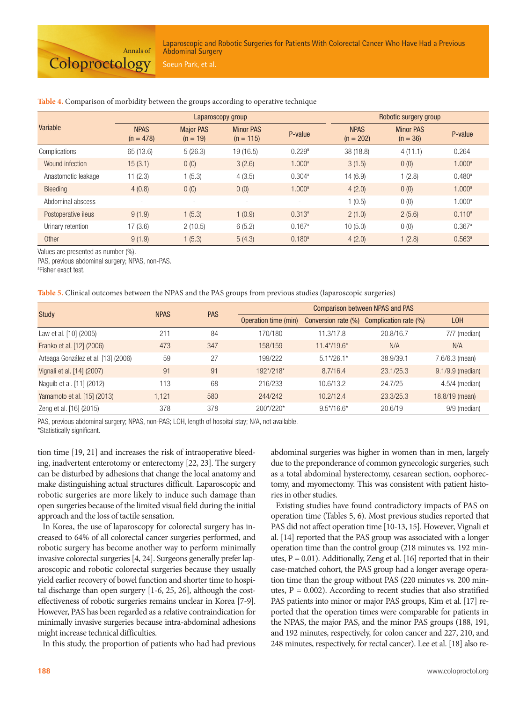Laparoscopic and Robotic Surgeries for Patients With Colorectal Cancer Who Have Had a Previous Abdominal Surgery

|                     |                            |                                                                              | Laparoscopy group        | Robotic surgery group      |                                |         |                      |
|---------------------|----------------------------|------------------------------------------------------------------------------|--------------------------|----------------------------|--------------------------------|---------|----------------------|
| Variable            | <b>NPAS</b><br>$(n = 478)$ | <b>Major PAS</b><br><b>Minor PAS</b><br>P-value<br>$(n = 19)$<br>$(n = 115)$ |                          | <b>NPAS</b><br>$(n = 202)$ | <b>Minor PAS</b><br>$(n = 36)$ | P-value |                      |
| Complications       | 65 (13.6)                  | 5(26.3)                                                                      | 19 (16.5)                | 0.229a                     | 38 (18.8)                      | 4(11.1) | 0.264                |
| Wound infection     | 15(3.1)                    | 0(0)                                                                         | 3(2.6)                   | 1.000 <sup>a</sup>         | 3(1.5)                         | 0(0)    | 1.000 <sup>a</sup>   |
| Anastomotic leakage | 11(2.3)                    | (5.3)                                                                        | 4(3.5)                   | 0.304a                     | 14(6.9)                        | 1(2.8)  | 0.480 <sup>a</sup>   |
| Bleeding            | 4(0.8)                     | 0(0)                                                                         | 0(0)                     | 1.000 <sup>a</sup>         | 4(2.0)                         | 0(0)    | 1.000 <sup>a</sup>   |
| Abdominal abscess   |                            |                                                                              | $\overline{\phantom{a}}$ |                            | 1(0.5)                         | 0(0)    | 1.000 <sup>a</sup>   |
| Postoperative ileus | 9(1.9)                     | (5.3)                                                                        | 1(0.9)                   | $0.313^{a}$                | 2(1.0)                         | 2(5.6)  | $0.110^a$            |
| Urinary retention   | 17(3.6)                    | 2(10.5)                                                                      | 6(5.2)                   | 0.167a                     | 10(5.0)                        | 0(0)    | $0.367$ <sup>a</sup> |
| Other               | 9(1.9)                     | (5.3)                                                                        | 5(4.3)                   | $0.180^{a}$                | 4(2.0)                         | 1(2.8)  | $0.563^{\circ}$      |

#### **Table 4.** Comparison of morbidity between the groups according to operative technique

Values are presented as number (%).

PAS, previous abdominal surgery; NPAS, non-PAS.

a Fisher exact test.

| Table 5. Clinical outcomes between the NPAS and the PAS groups from previous studies (laparoscopic surgeries) |  |  |  |  |
|---------------------------------------------------------------------------------------------------------------|--|--|--|--|
|                                                                                                               |  |  |  |  |

| Study                               | <b>NPAS</b> | <b>PAS</b> | <b>Comparison between NPAS and PAS</b> |                     |                       |                  |  |
|-------------------------------------|-------------|------------|----------------------------------------|---------------------|-----------------------|------------------|--|
|                                     |             |            | Operation time (min)                   | Conversion rate (%) | Complication rate (%) | L <sub>OH</sub>  |  |
| Law et al. [10] (2005)              | 211         | 84         | 170/180                                | 11.3/17.8           | 20.8/16.7             | 7/7 (median)     |  |
| Franko et al. [12] (2006)           | 473         | 347        | 158/159                                | $11.4*/19.6*$       | N/A                   | N/A              |  |
| Arteaga González et al. [13] (2006) | 59          | 27         | 199/222                                | $5.1*/26.1*$        | 38.9/39.1             | 7.6/6.3 (mean)   |  |
| Vignali et al. [14] (2007)          | 91          | 91         | 192*/218*                              | 8.7/16.4            | 23.1/25.3             | 9.1/9.9 (median) |  |
| Naguib et al. [11] (2012)           | 113         | 68         | 216/233                                | 10.6/13.2           | 24.7/25               | $4.5/4$ (median) |  |
| Yamamoto et al. [15] (2013)         | 1.121       | 580        | 244/242                                | 10.2/12.4           | 23.3/25.3             | 18.8/19 (mean)   |  |
| Zeng et al. [16] (2015)             | 378         | 378        | 200*/220*                              | $9.5*/16.6*$        | 20.6/19               | 9/9 (median)     |  |

PAS, previous abdominal surgery; NPAS, non-PAS; LOH, length of hospital stay; N/A, not available.

\*Statistically significant.

tion time [19, 21] and increases the risk of intraoperative bleeding, inadvertent enterotomy or enterectomy [22, 23]. The surgery can be disturbed by adhesions that change the local anatomy and make distinguishing actual structures difficult. Laparoscopic and robotic surgeries are more likely to induce such damage than open surgeries because of the limited visual field during the initial approach and the loss of tactile sensation.

In Korea, the use of laparoscopy for colorectal surgery has increased to 64% of all colorectal cancer surgeries performed, and robotic surgery has become another way to perform minimally invasive colorectal surgeries [4, 24]. Surgeons generally prefer laparoscopic and robotic colorectal surgeries because they usually yield earlier recovery of bowel function and shorter time to hospital discharge than open surgery [1-6, 25, 26], although the costeffectiveness of robotic surgeries remains unclear in Korea [7-9]. However, PAS has been regarded as a relative contraindication for minimally invasive surgeries because intra-abdominal adhesions might increase technical difficulties.

In this study, the proportion of patients who had had previous

abdominal surgeries was higher in women than in men, largely due to the preponderance of common gynecologic surgeries, such as a total abdominal hysterectomy, cesarean section, oophorectomy, and myomectomy. This was consistent with patient histories in other studies.

Existing studies have found contradictory impacts of PAS on operation time (Tables 5, 6). Most previous studies reported that PAS did not affect operation time [10-13, 15]. However, Vignali et al. [14] reported that the PAS group was associated with a longer operation time than the control group (218 minutes vs. 192 minutes,  $P = 0.01$ ). Additionally, Zeng et al. [16] reported that in their case-matched cohort, the PAS group had a longer average operation time than the group without PAS (220 minutes vs. 200 minutes,  $P = 0.002$ ). According to recent studies that also stratified PAS patients into minor or major PAS groups, Kim et al. [17] reported that the operation times were comparable for patients in the NPAS, the major PAS, and the minor PAS groups (188, 191, and 192 minutes, respectively, for colon cancer and 227, 210, and 248 minutes, respectively, for rectal cancer). Lee et al. [18] also re-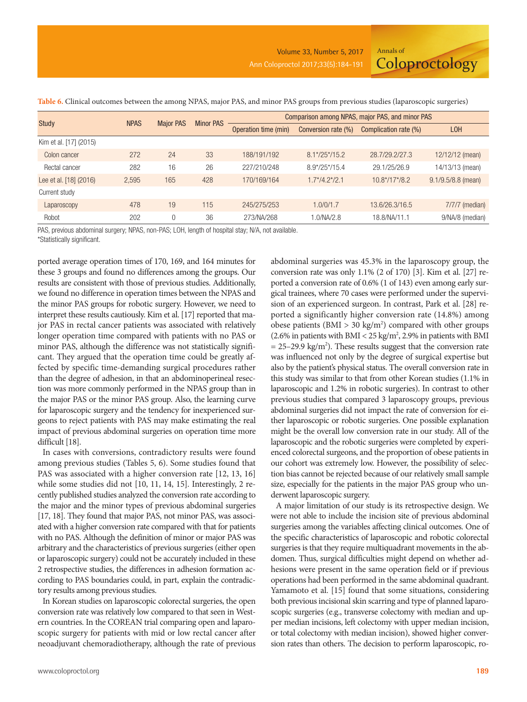| <b>Study</b>           | <b>NPAS</b> | <b>Major PAS</b> | <b>Minor PAS</b> | Comparison among NPAS, major PAS, and minor PAS |                     |                       |                      |  |  |
|------------------------|-------------|------------------|------------------|-------------------------------------------------|---------------------|-----------------------|----------------------|--|--|
|                        |             |                  |                  | Operation time (min)                            | Conversion rate (%) | Complication rate (%) | <b>LOH</b>           |  |  |
| Kim et al. [17] (2015) |             |                  |                  |                                                 |                     |                       |                      |  |  |
| Colon cancer           | 272         | 24               | 33               | 188/191/192                                     | $8.1*/25*/15.2$     | 28.7/29.2/27.3        | 12/12/12 (mean)      |  |  |
| Rectal cancer          | 282         | 16               | 26               | 227/210/248                                     | $8.9*/25*/15.4$     | 29.1/25/26.9          | 14/13/13 (mean)      |  |  |
| Lee et al. [18] (2016) | 2,595       | 165              | 428              | 170/169/164                                     | $1.7*/4.2*/2.1$     | $10.8*/17*/8.2$       | $9.1/9.5/8.8$ (mean) |  |  |
| Current study          |             |                  |                  |                                                 |                     |                       |                      |  |  |
| Laparoscopy            | 478         | 19               | 115              | 245/275/253                                     | 1.0/0/1.7           | 13.6/26.3/16.5        | $7/7/7$ (median)     |  |  |
| Robot                  | 202         | $\Omega$         | 36               | 273/NA/268                                      | .0/NA/2.8           | 18.8/NA/11.1          | 9/NA/8 (median)      |  |  |

**Table 6.** Clinical outcomes between the among NPAS, major PAS, and minor PAS groups from previous studies (laparoscopic surgeries)

PAS, previous abdominal surgery; NPAS, non-PAS; LOH, length of hospital stay; N/A, not available.

\*Statistically significant.

ported average operation times of 170, 169, and 164 minutes for these 3 groups and found no differences among the groups. Our results are consistent with those of previous studies. Additionally, we found no difference in operation times between the NPAS and the minor PAS groups for robotic surgery. However, we need to interpret these results cautiously. Kim et al. [17] reported that major PAS in rectal cancer patients was associated with relatively longer operation time compared with patients with no PAS or minor PAS, although the difference was not statistically significant. They argued that the operation time could be greatly affected by specific time-demanding surgical procedures rather than the degree of adhesion, in that an abdominoperineal resection was more commonly performed in the NPAS group than in the major PAS or the minor PAS group. Also, the learning curve for laparoscopic surgery and the tendency for inexperienced surgeons to reject patients with PAS may make estimating the real impact of previous abdominal surgeries on operation time more difficult [18].

In cases with conversions, contradictory results were found among previous studies (Tables 5, 6). Some studies found that PAS was associated with a higher conversion rate [12, 13, 16] while some studies did not [10, 11, 14, 15]. Interestingly, 2 recently published studies analyzed the conversion rate according to the major and the minor types of previous abdominal surgeries [17, 18]. They found that major PAS, not minor PAS, was associated with a higher conversion rate compared with that for patients with no PAS. Although the definition of minor or major PAS was arbitrary and the characteristics of previous surgeries (either open or laparoscopic surgery) could not be accurately included in these 2 retrospective studies, the differences in adhesion formation according to PAS boundaries could, in part, explain the contradictory results among previous studies.

In Korean studies on laparoscopic colorectal surgeries, the open conversion rate was relatively low compared to that seen in Western countries. In the COREAN trial comparing open and laparoscopic surgery for patients with mid or low rectal cancer after neoadjuvant chemoradiotherapy, although the rate of previous abdominal surgeries was 45.3% in the laparoscopy group, the conversion rate was only 1.1% (2 of 170) [3]. Kim et al. [27] reported a conversion rate of 0.6% (1 of 143) even among early surgical trainees, where 70 cases were performed under the supervision of an experienced surgeon. In contrast, Park et al. [28] reported a significantly higher conversion rate (14.8%) among obese patients ( $BMI > 30$  kg/m<sup>2</sup>) compared with other groups (2.6% in patients with BMI <  $25 \text{ kg/m}^2$ , 2.9% in patients with BMI  $= 25 - 29.9$  kg/m<sup>2</sup>). These results suggest that the conversion rate was influenced not only by the degree of surgical expertise but also by the patient's physical status. The overall conversion rate in this study was similar to that from other Korean studies (1.1% in laparoscopic and 1.2% in robotic surgeries). In contrast to other previous studies that compared 3 laparoscopy groups, previous abdominal surgeries did not impact the rate of conversion for either laparoscopic or robotic surgeries. One possible explanation might be the overall low conversion rate in our study. All of the laparoscopic and the robotic surgeries were completed by experienced colorectal surgeons, and the proportion of obese patients in our cohort was extremely low. However, the possibility of selection bias cannot be rejected because of our relatively small sample size, especially for the patients in the major PAS group who underwent laparoscopic surgery.

Annals of

**Coloproctology** 

A major limitation of our study is its retrospective design. We were not able to include the incision site of previous abdominal surgeries among the variables affecting clinical outcomes. One of the specific characteristics of laparoscopic and robotic colorectal surgeries is that they require multiquadrant movements in the abdomen. Thus, surgical difficulties might depend on whether adhesions were present in the same operation field or if previous operations had been performed in the same abdominal quadrant. Yamamoto et al. [15] found that some situations, considering both previous incisional skin scarring and type of planned laparoscopic surgeries (e.g., transverse colectomy with median and upper median incisions, left colectomy with upper median incision, or total colectomy with median incision), showed higher conversion rates than others. The decision to perform laparoscopic, ro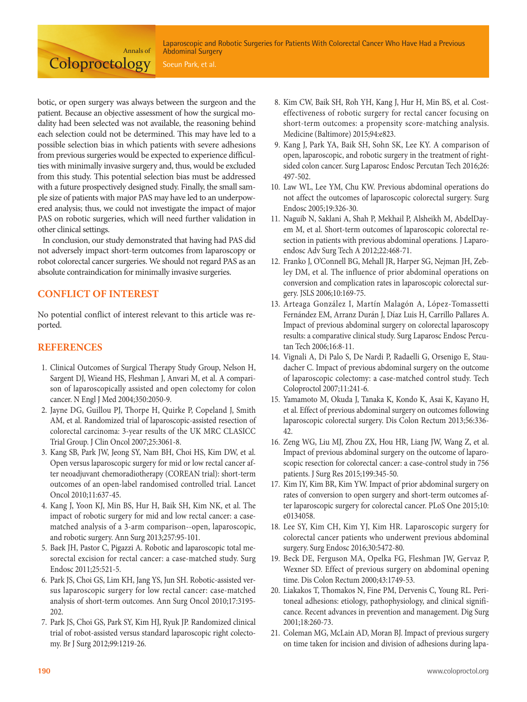Laparoscopic and Robotic Surgeries for Patients With Colorectal Cancer Who Have Had a Previous Abdominal Surgery

botic, or open surgery was always between the surgeon and the patient. Because an objective assessment of how the surgical modality had been selected was not available, the reasoning behind each selection could not be determined. This may have led to a possible selection bias in which patients with severe adhesions from previous surgeries would be expected to experience difficulties with minimally invasive surgery and, thus, would be excluded from this study. This potential selection bias must be addressed with a future prospectively designed study. Finally, the small sample size of patients with major PAS may have led to an underpowered analysis; thus, we could not investigate the impact of major PAS on robotic surgeries, which will need further validation in other clinical settings.

Annals of

**Coloproctology** 

In conclusion, our study demonstrated that having had PAS did not adversely impact short-term outcomes from laparoscopy or robot colorectal cancer surgeries. We should not regard PAS as an absolute contraindication for minimally invasive surgeries.

## **CONFLICT OF INTEREST**

No potential conflict of interest relevant to this article was reported.

## **REFERENCES**

- 1. Clinical Outcomes of Surgical Therapy Study Group, Nelson H, Sargent DJ, Wieand HS, Fleshman J, Anvari M, et al. A comparison of laparoscopically assisted and open colectomy for colon cancer. N Engl J Med 2004;350:2050-9.
- 2. Jayne DG, Guillou PJ, Thorpe H, Quirke P, Copeland J, Smith AM, et al. Randomized trial of laparoscopic-assisted resection of colorectal carcinoma: 3-year results of the UK MRC CLASICC Trial Group. J Clin Oncol 2007;25:3061-8.
- 3. Kang SB, Park JW, Jeong SY, Nam BH, Choi HS, Kim DW, et al. Open versus laparoscopic surgery for mid or low rectal cancer after neoadjuvant chemoradiotherapy (COREAN trial): short-term outcomes of an open-label randomised controlled trial. Lancet Oncol 2010;11:637-45.
- 4. Kang J, Yoon KJ, Min BS, Hur H, Baik SH, Kim NK, et al. The impact of robotic surgery for mid and low rectal cancer: a casematched analysis of a 3-arm comparison--open, laparoscopic, and robotic surgery. Ann Surg 2013;257:95-101.
- 5. Baek JH, Pastor C, Pigazzi A. Robotic and laparoscopic total mesorectal excision for rectal cancer: a case-matched study. Surg Endosc 2011;25:521-5.
- 6. Park JS, Choi GS, Lim KH, Jang YS, Jun SH. Robotic-assisted versus laparoscopic surgery for low rectal cancer: case-matched analysis of short-term outcomes. Ann Surg Oncol 2010;17:3195- 202.
- 7. Park JS, Choi GS, Park SY, Kim HJ, Ryuk JP. Randomized clinical trial of robot-assisted versus standard laparoscopic right colectomy. Br J Surg 2012;99:1219-26.
- 8. Kim CW, Baik SH, Roh YH, Kang J, Hur H, Min BS, et al. Costeffectiveness of robotic surgery for rectal cancer focusing on short-term outcomes: a propensity score-matching analysis. Medicine (Baltimore) 2015;94:e823.
- 9. Kang J, Park YA, Baik SH, Sohn SK, Lee KY. A comparison of open, laparoscopic, and robotic surgery in the treatment of rightsided colon cancer. Surg Laparosc Endosc Percutan Tech 2016;26: 497-502.
- 10. Law WL, Lee YM, Chu KW. Previous abdominal operations do not affect the outcomes of laparoscopic colorectal surgery. Surg Endosc 2005;19:326-30.
- 11. Naguib N, Saklani A, Shah P, Mekhail P, Alsheikh M, AbdelDayem M, et al. Short-term outcomes of laparoscopic colorectal resection in patients with previous abdominal operations. J Laparoendosc Adv Surg Tech A 2012;22:468-71.
- 12. Franko J, O'Connell BG, Mehall JR, Harper SG, Nejman JH, Zebley DM, et al. The influence of prior abdominal operations on conversion and complication rates in laparoscopic colorectal surgery. JSLS 2006;10:169-75.
- 13. Arteaga González I, Martín Malagón A, López-Tomassetti Fernández EM, Arranz Durán J, Díaz Luis H, Carrillo Pallares A. Impact of previous abdominal surgery on colorectal laparoscopy results: a comparative clinical study. Surg Laparosc Endosc Percutan Tech 2006;16:8-11.
- 14. Vignali A, Di Palo S, De Nardi P, Radaelli G, Orsenigo E, Staudacher C. Impact of previous abdominal surgery on the outcome of laparoscopic colectomy: a case-matched control study. Tech Coloproctol 2007;11:241-6.
- 15. Yamamoto M, Okuda J, Tanaka K, Kondo K, Asai K, Kayano H, et al. Effect of previous abdominal surgery on outcomes following laparoscopic colorectal surgery. Dis Colon Rectum 2013;56:336- 42.
- 16. Zeng WG, Liu MJ, Zhou ZX, Hou HR, Liang JW, Wang Z, et al. Impact of previous abdominal surgery on the outcome of laparoscopic resection for colorectal cancer: a case-control study in 756 patients. J Surg Res 2015;199:345-50.
- 17. Kim IY, Kim BR, Kim YW. Impact of prior abdominal surgery on rates of conversion to open surgery and short-term outcomes after laparoscopic surgery for colorectal cancer. PLoS One 2015;10: e0134058.
- 18. Lee SY, Kim CH, Kim YJ, Kim HR. Laparoscopic surgery for colorectal cancer patients who underwent previous abdominal surgery. Surg Endosc 2016;30:5472-80.
- 19. Beck DE, Ferguson MA, Opelka FG, Fleshman JW, Gervaz P, Wexner SD. Effect of previous surgery on abdominal opening time. Dis Colon Rectum 2000;43:1749-53.
- 20. Liakakos T, Thomakos N, Fine PM, Dervenis C, Young RL. Peritoneal adhesions: etiology, pathophysiology, and clinical significance. Recent advances in prevention and management. Dig Surg 2001;18:260-73.
- 21. Coleman MG, McLain AD, Moran BJ. Impact of previous surgery on time taken for incision and division of adhesions during lapa-